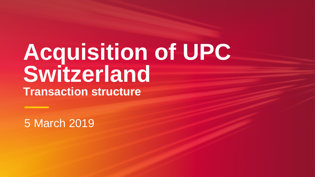# **Acquisition of UPC Switzerland Transaction structure**

5 March 2019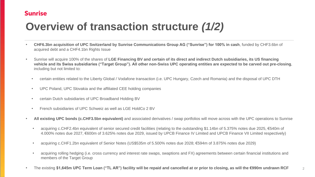• **CHF6.3bn acquisition of UPC Switzerland by Sunrise Communications Group AG ("Sunrise") for 100% in cash**, funded by CHF3.6bn of

• Sunrise will acquire 100% of the shares of **LGE Financing BV and certain of its direct and indirect Dutch subsidiaries, its US financing vehicle and its Swiss subsidiaries ("Target Group"). All other non-Swiss UPC operating entities are expected to be carved out pre-closing**,

• certain entities related to the Liberty Global / Vodafone transaction (i.e. UPC Hungary, Czech and Romania) and the disposal of UPC DTH

- acquired debt and a CHF4.1bn Rights Issue
- including but not limited to:
	-
	- UPC Poland, UPC Slovakia and the affiliated CEE holding companies
	- certain Dutch subsidiaries of UPC Broadband Holding BV
	- French subsidiaries of UPC Schweiz as well as LGE HoldCo 2 BV
- -
	-
	- members of the Target Group
- 

• **All existing UPC bonds (c.CHF3.5bn equivalent)** and associated derivatives / swap portfolios will move across with the UPC operations to Sunrise

• acquiring c.CHF2.4bn equivalent of senior secured credit facilities (relating to the outstanding \$1.14bn of 5.375% notes due 2025, €540m of 4.000% notes due 2027, €600m of 3.625% notes due 2029, issued by UPCB Finance IV Limited and UPCB Finance VII Limited respectively)

• acquiring c.CHF1.2bn equivalent of Senior Notes (US\$535m of 5.500% notes due 2028; €594m of 3.875% notes due 2029)

acquiring rolling hedging (i.e. cross currency and interest rate swaps, swaptions and FX) agreements between certain financial institutions and

• The existing **\$1,645m UPC Term Loan ("TL AR") facility will be repaid and cancelled at or prior to closing, as will the €990m undrawn RCF** 2



## **Overview of transaction structure** *(1/2)*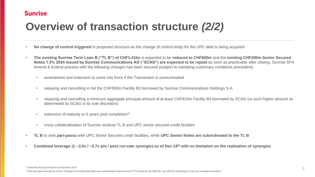• **The existing Sunrise Term Loan B ("TL B") of CHF1.41bn** is expected to be **reduced to CHF500m** and the **existing CHF200m Senior Secured**  Notes 1.5% 2024 issued by Sunrise Communications AG ("SCAG") are expected to be repaid as soon as practicable after closing. Sunrise SFA

• repaying and cancelling a minimum aggregate principal amount of at least CHF410m Facility B3 borrowed by SCAG (or such higher amount as

- **No change of control triggered** in proposed structure as the change of control entity for the UPC debt is being acquired
- Amend & Extend process with the following changes has been secured (subject to satisfying customary conditions precedent):
	- amendment and extension to come into force if the Transaction is consummated
	- repaying and cancelling in full the CHF500m Facility B3 borrowed by Sunrise Communications Holdings S.A.
	- determined by SCAG in its sole discretion)
	- extension of maturity to 5 years post completion<sup>1)</sup>
	- cross collateralisation of Sunrise residual TL B and UPC senior secured credit facilities
- **TL B** to rank *pari-passu* with UPC Senior Secured credit facilities, while **UPC Senior Notes are subordinated to the TL B**
- 

• **Combined leverage @ ~3.0x / ~2.7x pre / post run-rate synergies as of Dec-18 2) with no limitation on the realisation of synergies**





### **Overview of transaction structure** *(2/2)*

 $1)$  Expected closing during the second half of 2019

<sup>&</sup>lt;sup>2)</sup> Post synergies leverage as of Dec-18 based on net debt post rights issue and spectrum payment and FY'18 combined adj. EBITDA / adj. EBITDA (including run-rate cost synergies estimates)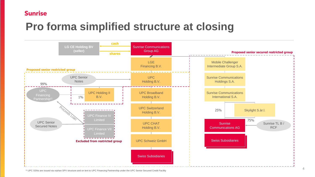

### **Sunrise**

### **Pro forma simplified structure at closing**

1) UPC SSNs are issued via orphan SPV structure and on lent to UPC Financing Partnership under the UPC Senior Secured Credit Facility

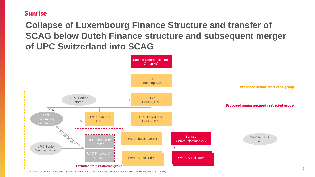5

#### **Sunrise**

### **Collapse of Luxembourg Finance Structure and transfer of SCAG below Dutch Finance structure and subsequent merger of UPC Switzerland into SCAG**

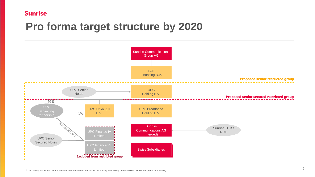

#### **Sunrise**

### **Pro forma target structure by 2020**

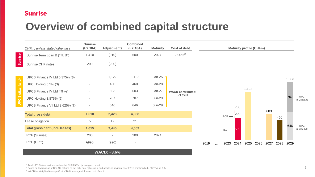### **Sunrise**

### **Overview of combined capital structure**

|                | CHFm, unless stated otherwise            | <b>Sunrise</b><br>(FY'18A) | <b>Adjustments</b> | <b>Combined</b><br>(FY'18A) | <b>Maturity</b> | Cost of de                    |
|----------------|------------------------------------------|----------------------------|--------------------|-----------------------------|-----------------|-------------------------------|
| <b>Sunrise</b> | Sunrise Term Loan B ("TL B")             | 1,410                      | (910)              | 500                         | 2024            | $2.00\%^{2}$                  |
|                | <b>Sunrise CHF notes</b>                 | 200                        | (200)              |                             |                 |                               |
|                | UPCB Finance IV Ltd $5.375\%$ (\$)       |                            | 1,122              | 1,122                       | $Jan-25$        | <b>WACD contr</b><br>$~1.8\%$ |
|                | UPC Holding $5.5\%$ (\$)                 |                            | 460                | 460                         | $Jan-28$        |                               |
|                | UPCB Finance IV Ltd 4% $(\epsilon)$      |                            | 603                | 603                         | $Jan-27$        |                               |
|                | UPC Holding 3.875% $(\epsilon)$          |                            | 707                | 707                         | <b>Jun-29</b>   |                               |
|                | UPCB Finance VII Ltd 3.625% $(\epsilon)$ |                            | 646                | 646                         | <b>Jun-29</b>   |                               |
|                | <b>Total gross debt</b>                  | 1,610                      | 2,428              | 4,038                       |                 |                               |
|                | Lease obligation                         | 5                          | 17                 | 21                          |                 |                               |
|                | <b>Total gross debt (incl. leases)</b>   | 1,615                      | 2,445              | 4,059                       |                 |                               |
|                | <b>RCF (Sunrise)</b>                     | 200                        | $\blacksquare$     | 200                         | 2024            |                               |
|                | <b>RCF (UPC)</b>                         | €990                       | (990)              | $\equiv$                    |                 |                               |



3) WACD for Weighted Average Cost of Debt; average of 4 years cost of debt

#### **WACD: ~3.6%**

<sup>1)</sup> Total UPC Switzerland nominal debt of CHF3,538m (at swapped rates)

<sup>2)</sup> Based on leverage as of Dec-18, defined as net debt post rights issue and spectrum payment over FY'18 combined adj. EBITDA, of 3.0x